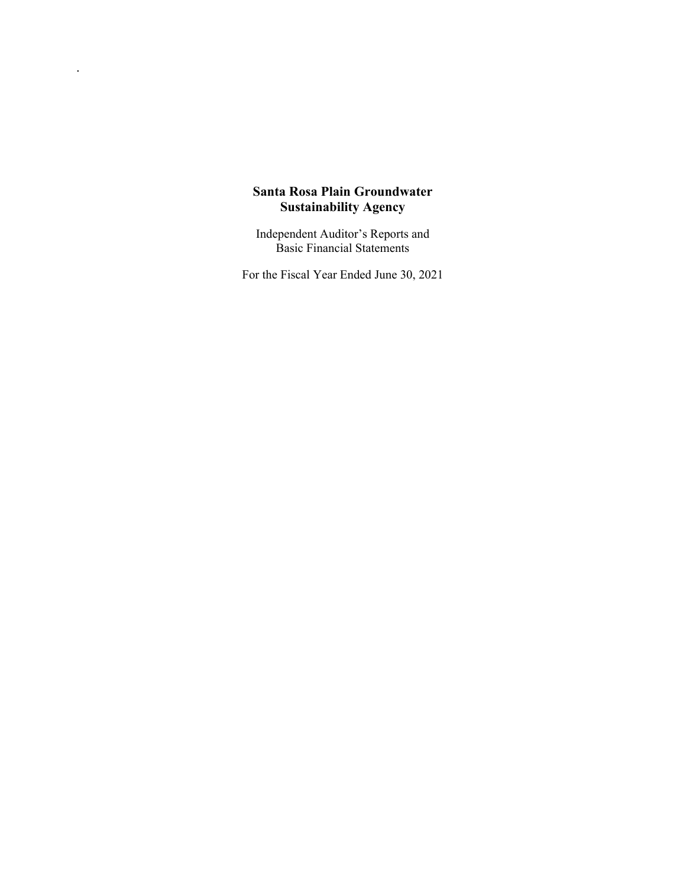# **Santa Rosa Plain Groundwater Sustainability Agency**

.

Independent Auditor's Reports and Basic Financial Statements

For the Fiscal Year Ended June 30, 2021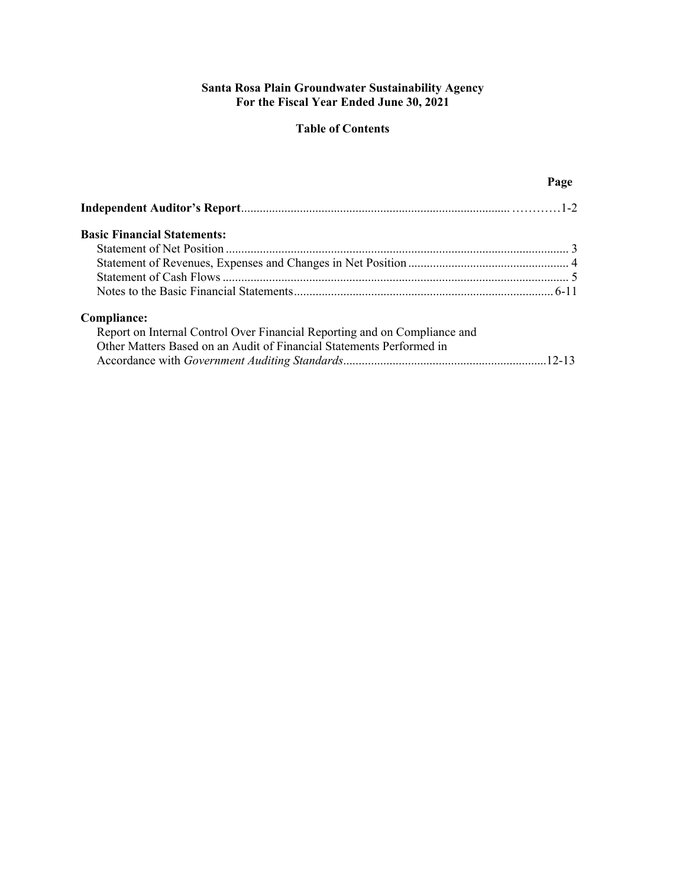# **Santa Rosa Plain Groundwater Sustainability Agency For the Fiscal Year Ended June 30, 2021**

# **Table of Contents**

# **Page**

| <b>Basic Financial Statements:</b>                                        |  |
|---------------------------------------------------------------------------|--|
|                                                                           |  |
|                                                                           |  |
|                                                                           |  |
|                                                                           |  |
| Compliance:                                                               |  |
| Report on Internal Control Over Financial Reporting and on Compliance and |  |
| Other Matters Based on an Audit of Financial Statements Performed in      |  |
|                                                                           |  |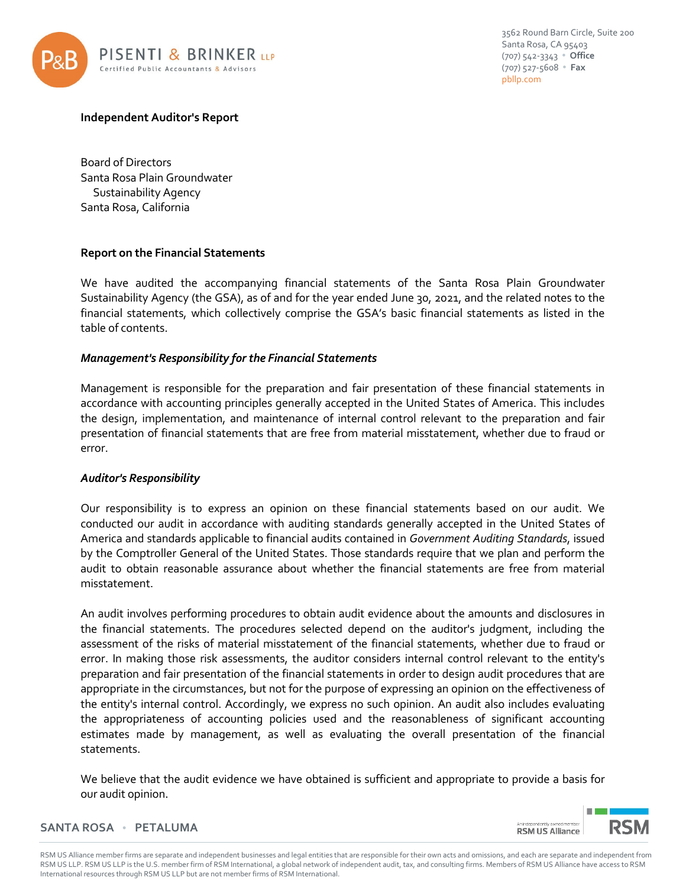

3562 Round Barn Circle, Suite 200 Santa Rosa, CA 95403 (707) 542‐3343 **Office** (707) 527‐5608 **Fax** [pbllp.com](https://pbllp.com)

# **Independent Auditor's Report**

 Board of Directors Santa Rosa Plain Groundwater Sustainability Agency Santa Rosa, California

# **Report on the Financial Statements**

 We have audited the accompanying financial statements of the Santa Rosa Plain Groundwater Sustainability Agency (the GSA), as of and for the year ended June 30, 2021, and the related notes to the financial statements, which collectively comprise the GSA's basic financial statements as listed in the table of contents.

# *Management's Responsibility for the Financial Statements*

 Management is responsible for the preparation and fair presentation of these financial statements in accordance with accounting principles generally accepted in the United States of America. This includes the design, implementation, and maintenance of internal control relevant to the preparation and fair presentation of financial statements that are free from material misstatement, whether due to fraud or error.

# *Auditor's Responsibility*

 Our responsibility is to express an opinion on these financial statements based on our audit. We conducted our audit in accordance with auditing standards generally accepted in the United States of  America and standards applicable to financial audits contained in *Government Auditing Standards*, issued by the Comptroller General of the United States. Those standards require that we plan and perform the audit to obtain reasonable assurance about whether the financial statements are free from material misstatement.

 An audit involves performing procedures to obtain audit evidence about the amounts and disclosures in the financial statements. The procedures selected depend on the auditor's judgment, including the assessment of the risks of material misstatement of the financial statements, whether due to fraud or error. In making those risk assessments, the auditor considers internal control relevant to the entity's preparation and fair presentation of the financial statements in order to design audit procedures that are appropriate in the circumstances, but not for the purpose of expressing an opinion on the effectiveness of the entity's internal control. Accordingly, we express no such opinion. An audit also includes evaluating the appropriateness of accounting policies used and the reasonableness of significant accounting estimates made by management, as well as evaluating the overall presentation of the financial statements.

 We believe that the audit evidence we have obtained is sufficient and appropriate to provide a basis for our audit opinion.



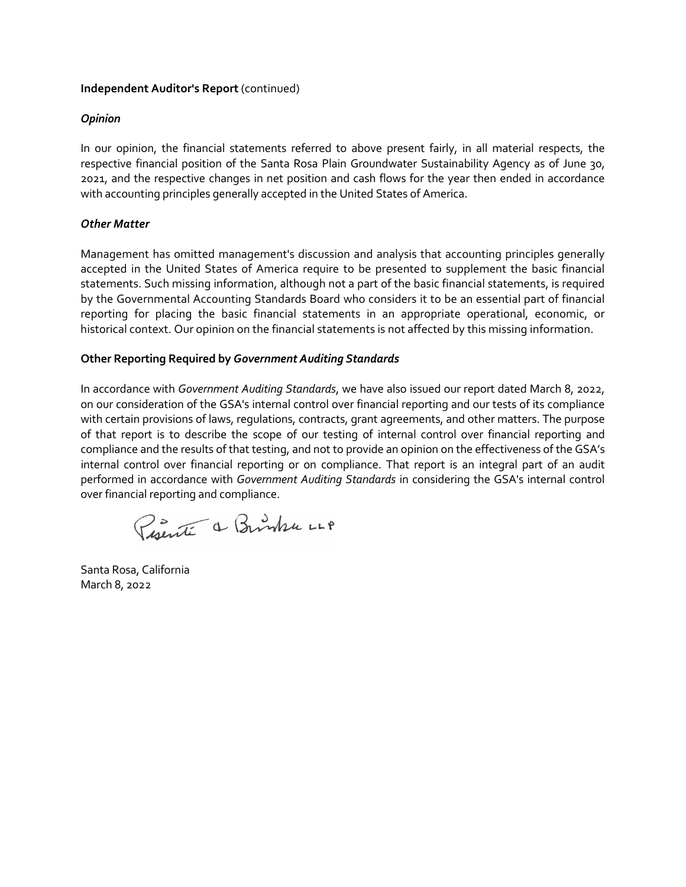# **Independent Auditor's Report** (continued)

# *Opinion*

 In our opinion, the financial statements referred to above present fairly, in all material respects, the respective financial position of the Santa Rosa Plain Groundwater Sustainability Agency as of June 30, 2021, and the respective changes in net position and cash flows for the year then ended in accordance with accounting principles generally accepted in the United States of America.

# *Other Matter*

 Management has omitted management's discussion and analysis that accounting principles generally accepted in the United States of America require to be presented to supplement the basic financial statements. Such missing information, although not a part of the basic financial statements, is required by the Governmental Accounting Standards Board who considers it to be an essential part of financial reporting for placing the basic financial statements in an appropriate operational, economic, or historical context. Our opinion on the financial statements is not affected by this missing information.

# **Other Reporting Required by** *Government Auditing Standards*

  In accordance with *Government Auditing Standards*, we have also issued our report dated March 8, 2022, on our consideration of the GSA's internal control over financial reporting and our tests of its compliance with certain provisions of laws, regulations, contracts, grant agreements, and other matters. The purpose of that report is to describe the scope of our testing of internal control over financial reporting and compliance and the results of that testing, and not to provide an opinion on the effectiveness of the GSA's internal control over financial reporting or on compliance. That report is an integral part of an audit  performed in accordance with *Government Auditing Standards* in considering the GSA's internal control over financial reporting and compliance.

Piente a Brinke LLP

 Santa Rosa, California March 8, 2022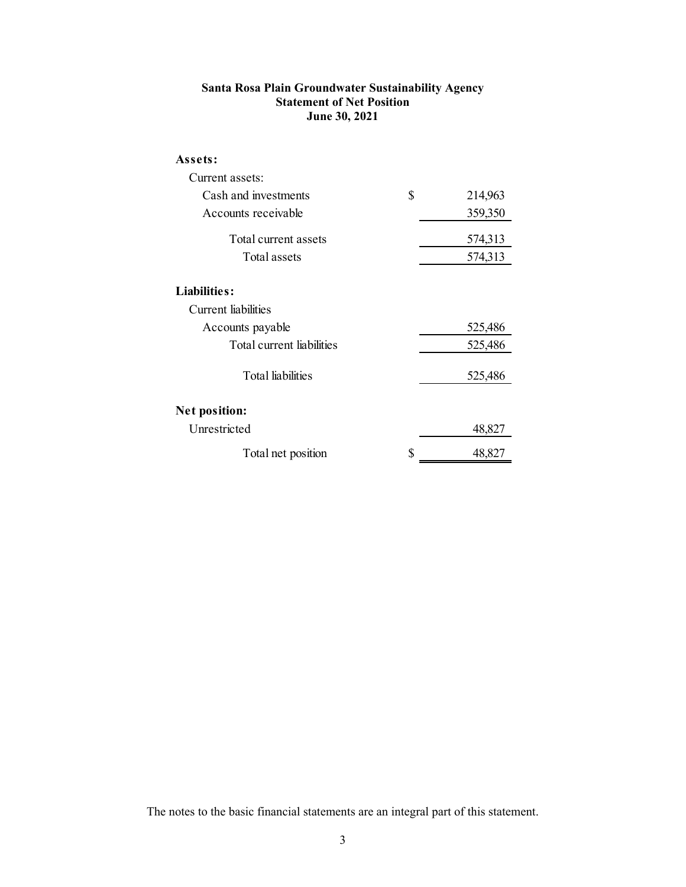# <span id="page-4-0"></span>**Santa Rosa Plain Groundwater Sustainability Agency Statement of Net Position June 30, 2021**

| Assets:                             |               |
|-------------------------------------|---------------|
| Current assets:                     |               |
| Cash and investments                | \$<br>214,963 |
| Accounts receivable                 | 359,350       |
| Total current assets                | 574,313       |
| Total assets                        | 574,313       |
| Liabilities:<br>Current liabilities |               |
|                                     |               |
| Accounts payable                    | 525,486       |
| Total current liabilities           | 525,486       |
| Total liabilities                   | 525,486       |
| <b>Net position:</b>                |               |
| Unrestricted                        | 48,827        |
| Total net position                  | \$<br>48,827  |

The notes to the basic financial statements are an integral part of this statement.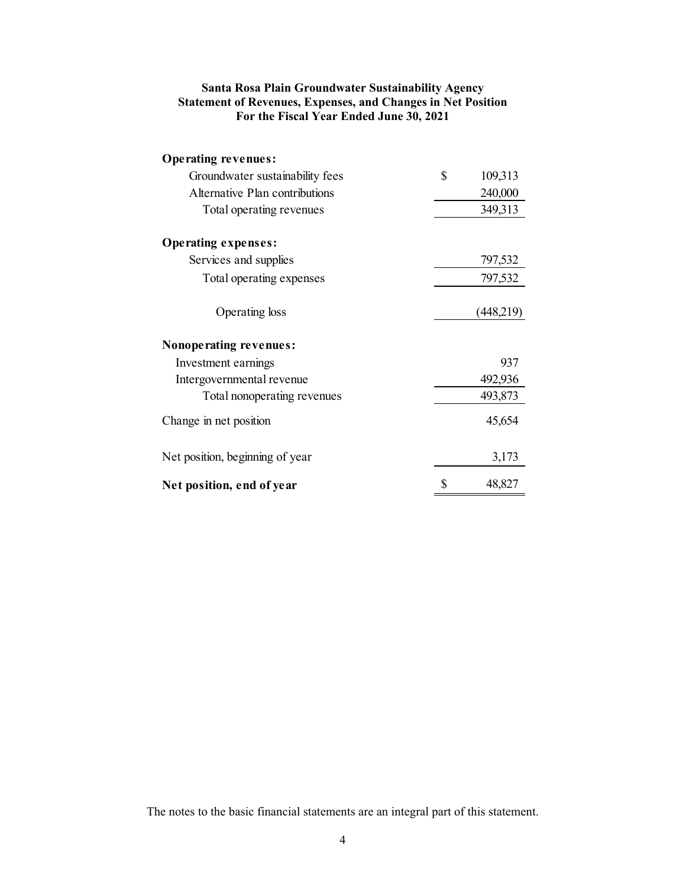# **Santa Rosa Plain Groundwater Sustainability Agency Statement of Revenues, Expenses, and Changes in Net Position For the Fiscal Year Ended June 30, 2021**

| <b>Operating revenues:</b>      |               |
|---------------------------------|---------------|
| Groundwater sustainability fees | \$<br>109,313 |
| Alternative Plan contributions  | 240,000       |
| Total operating revenues        | 349,313       |
| <b>Operating expenses:</b>      |               |
| Services and supplies           | 797,532       |
| Total operating expenses        | 797,532       |
| Operating loss                  | (448,219)     |
| Nonoperating revenues:          |               |
| Investment earnings             | 937           |
| Intergovernmental revenue       | 492,936       |
| Total nonoperating revenues     | 493,873       |
| Change in net position          | 45,654        |
| Net position, beginning of year | 3,173         |
| Net position, end of year       | \$<br>48,827  |

The notes to the basic financial statements are an integral part of this statement.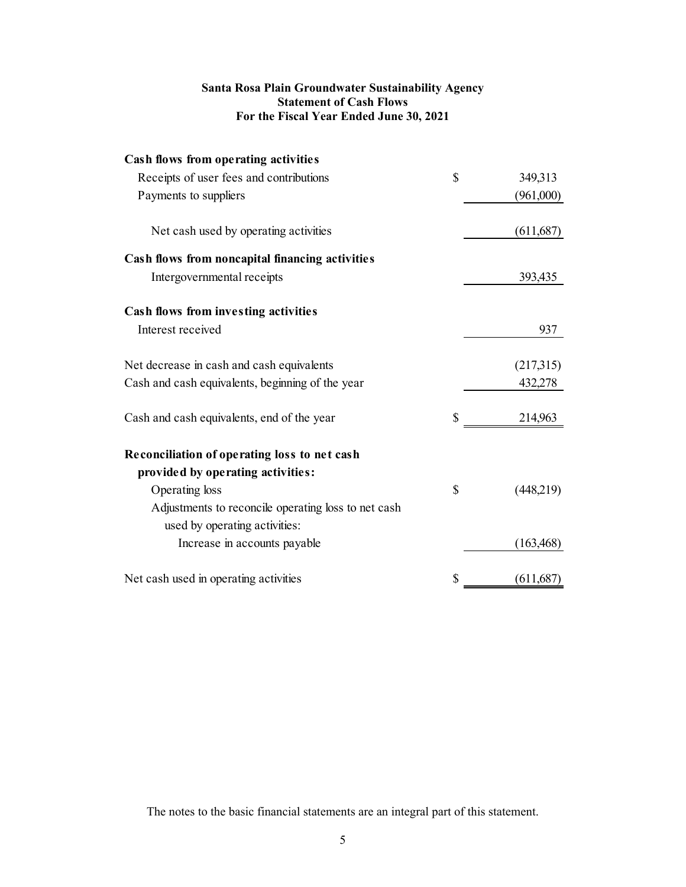# **Santa Rosa Plain Groundwater Sustainability Agency Statement of Cash Flows For the Fiscal Year Ended June 30, 2021**

| Cash flows from operating activities                |                  |
|-----------------------------------------------------|------------------|
| Receipts of user fees and contributions             | \$<br>349,313    |
| Payments to suppliers                               | (961,000)        |
| Net cash used by operating activities               | (611, 687)       |
| Cash flows from noncapital financing activities     |                  |
| Intergovernmental receipts                          | 393,435          |
| Cash flows from investing activities                |                  |
| Interest received                                   | 937              |
| Net decrease in cash and cash equivalents           | (217,315)        |
| Cash and cash equivalents, beginning of the year    | 432,278          |
| Cash and cash equivalents, end of the year          | \$<br>214,963    |
| Reconciliation of operating loss to net cash        |                  |
| provided by operating activities:                   |                  |
| Operating loss                                      | \$<br>(448,219)  |
| Adjustments to reconcile operating loss to net cash |                  |
| used by operating activities:                       |                  |
| Increase in accounts payable                        | (163, 468)       |
| Net cash used in operating activities               | \$<br>(611, 687) |

The notes to the basic financial statements are an integral part of this statement.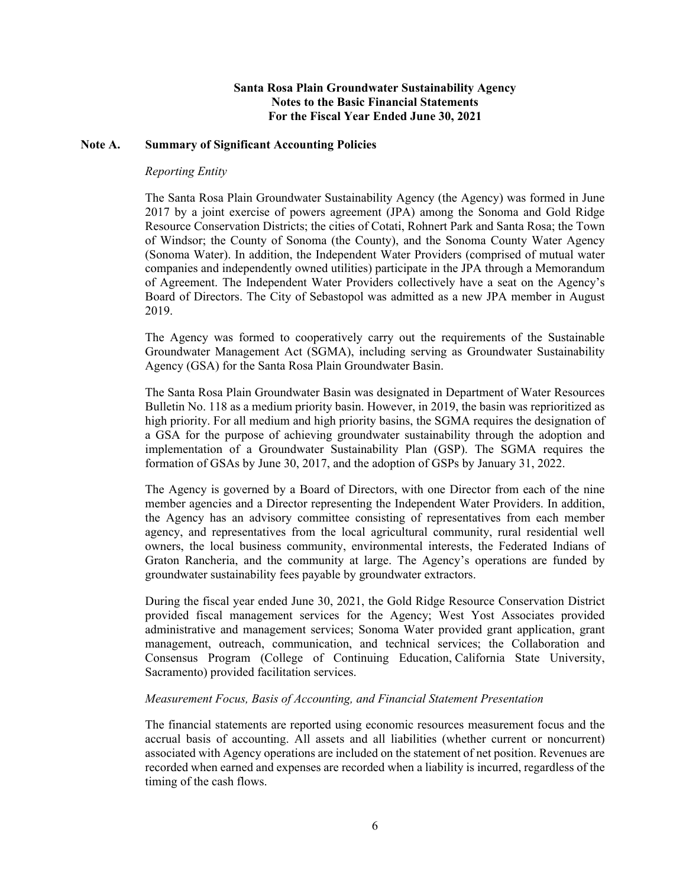# **Note A. Summary of Significant Accounting Policies**

#### *Reporting Entity*

The Santa Rosa Plain Groundwater Sustainability Agency (the Agency) was formed in June 2017 by a joint exercise of powers agreement (JPA) among the Sonoma and Gold Ridge Resource Conservation Districts; the cities of Cotati, Rohnert Park and Santa Rosa; the Town of Windsor; the County of Sonoma (the County), and the Sonoma County Water Agency (Sonoma Water). In addition, the Independent Water Providers (comprised of mutual water companies and independently owned utilities) participate in the JPA through a Memorandum of Agreement. The Independent Water Providers collectively have a seat on the Agency's Board of Directors. The City of Sebastopol was admitted as a new JPA member in August 2019.

The Agency was formed to cooperatively carry out the requirements of the Sustainable Groundwater Management Act (SGMA), including serving as Groundwater Sustainability Agency (GSA) for the Santa Rosa Plain Groundwater Basin.

The Santa Rosa Plain Groundwater Basin was designated in Department of Water Resources Bulletin No. 118 as a medium priority basin. However, in 2019, the basin was reprioritized as high priority. For all medium and high priority basins, the SGMA requires the designation of a GSA for the purpose of achieving groundwater sustainability through the adoption and implementation of a Groundwater Sustainability Plan (GSP). The SGMA requires the formation of GSAs by June 30, 2017, and the adoption of GSPs by January 31, 2022.

The Agency is governed by a Board of Directors, with one Director from each of the nine member agencies and a Director representing the Independent Water Providers. In addition, the Agency has an advisory committee consisting of representatives from each member agency, and representatives from the local agricultural community, rural residential well owners, the local business community, environmental interests, the Federated Indians of Graton Rancheria, and the community at large. The Agency's operations are funded by groundwater sustainability fees payable by groundwater extractors.

During the fiscal year ended June 30, 2021, the Gold Ridge Resource Conservation District provided fiscal management services for the Agency; West Yost Associates provided administrative and management services; Sonoma Water provided grant application, grant management, outreach, communication, and technical services; the Collaboration and Consensus Program (College of Continuing Education, California State University, Sacramento) provided facilitation services.

#### *Measurement Focus, Basis of Accounting, and Financial Statement Presentation*

The financial statements are reported using economic resources measurement focus and the accrual basis of accounting. All assets and all liabilities (whether current or noncurrent) associated with Agency operations are included on the statement of net position. Revenues are recorded when earned and expenses are recorded when a liability is incurred, regardless of the timing of the cash flows.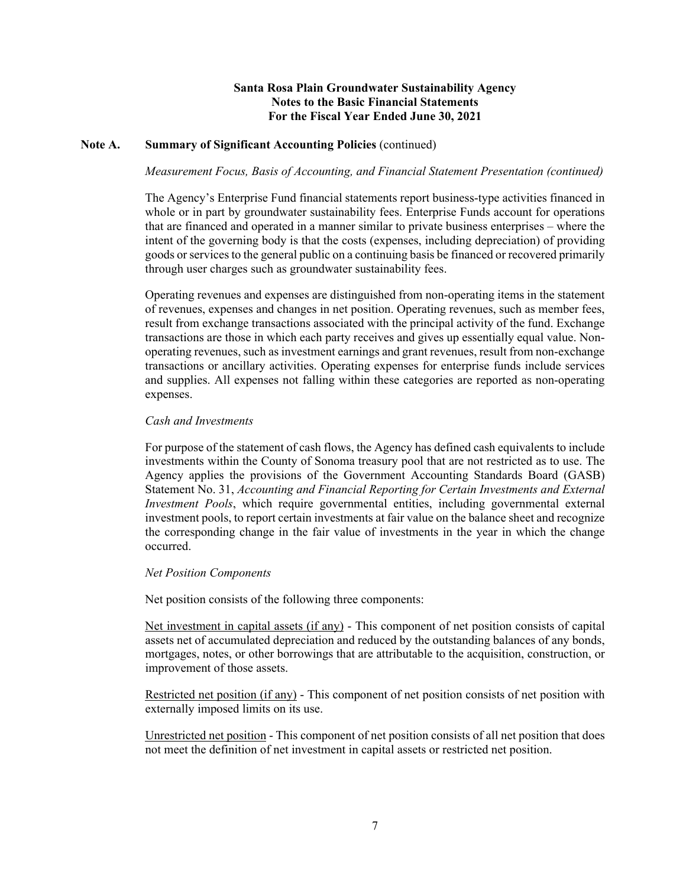# **Note A. Summary of Significant Accounting Policies** (continued)

#### *Measurement Focus, Basis of Accounting, and Financial Statement Presentation (continued)*

The Agency's Enterprise Fund financial statements report business-type activities financed in whole or in part by groundwater sustainability fees. Enterprise Funds account for operations that are financed and operated in a manner similar to private business enterprises – where the intent of the governing body is that the costs (expenses, including depreciation) of providing goods or services to the general public on a continuing basis be financed or recovered primarily through user charges such as groundwater sustainability fees.

Operating revenues and expenses are distinguished from non-operating items in the statement of revenues, expenses and changes in net position. Operating revenues, such as member fees, result from exchange transactions associated with the principal activity of the fund. Exchange transactions are those in which each party receives and gives up essentially equal value. Nonoperating revenues, such as investment earnings and grant revenues, result from non-exchange transactions or ancillary activities. Operating expenses for enterprise funds include services and supplies. All expenses not falling within these categories are reported as non-operating expenses.

#### *Cash and Investments*

For purpose of the statement of cash flows, the Agency has defined cash equivalents to include investments within the County of Sonoma treasury pool that are not restricted as to use. The Agency applies the provisions of the Government Accounting Standards Board (GASB) Statement No. 31, *Accounting and Financial Reporting for Certain Investments and External Investment Pools*, which require governmental entities, including governmental external investment pools, to report certain investments at fair value on the balance sheet and recognize the corresponding change in the fair value of investments in the year in which the change occurred.

### *Net Position Components*

Net position consists of the following three components:

Net investment in capital assets (if any) - This component of net position consists of capital assets net of accumulated depreciation and reduced by the outstanding balances of any bonds, mortgages, notes, or other borrowings that are attributable to the acquisition, construction, or improvement of those assets.

Restricted net position (if any) - This component of net position consists of net position with externally imposed limits on its use.

Unrestricted net position - This component of net position consists of all net position that does not meet the definition of net investment in capital assets or restricted net position.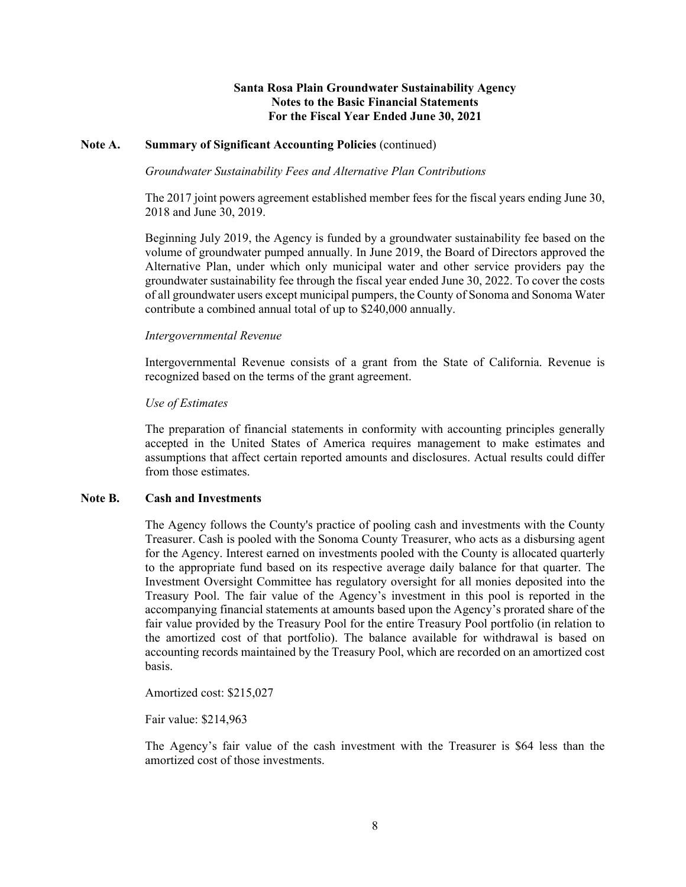### **Note A. Summary of Significant Accounting Policies** (continued)

#### *Groundwater Sustainability Fees and Alternative Plan Contributions*

The 2017 joint powers agreement established member fees for the fiscal years ending June 30, 2018 and June 30, 2019.

Beginning July 2019, the Agency is funded by a groundwater sustainability fee based on the volume of groundwater pumped annually. In June 2019, the Board of Directors approved the Alternative Plan, under which only municipal water and other service providers pay the groundwater sustainability fee through the fiscal year ended June 30, 2022. To cover the costs of all groundwater users except municipal pumpers, the County of Sonoma and Sonoma Water contribute a combined annual total of up to \$240,000 annually.

#### *Intergovernmental Revenue*

Intergovernmental Revenue consists of a grant from the State of California. Revenue is recognized based on the terms of the grant agreement.

#### *Use of Estimates*

The preparation of financial statements in conformity with accounting principles generally accepted in the United States of America requires management to make estimates and assumptions that affect certain reported amounts and disclosures. Actual results could differ from those estimates.

### **Note B. Cash and Investments**

The Agency follows the County's practice of pooling cash and investments with the County Treasurer. Cash is pooled with the Sonoma County Treasurer, who acts as a disbursing agent for the Agency. Interest earned on investments pooled with the County is allocated quarterly to the appropriate fund based on its respective average daily balance for that quarter. The Investment Oversight Committee has regulatory oversight for all monies deposited into the Treasury Pool. The fair value of the Agency's investment in this pool is reported in the accompanying financial statements at amounts based upon the Agency's prorated share of the fair value provided by the Treasury Pool for the entire Treasury Pool portfolio (in relation to the amortized cost of that portfolio). The balance available for withdrawal is based on accounting records maintained by the Treasury Pool, which are recorded on an amortized cost basis.

Amortized cost: \$215,027

Fair value: \$214,963

The Agency's fair value of the cash investment with the Treasurer is \$64 less than the amortized cost of those investments.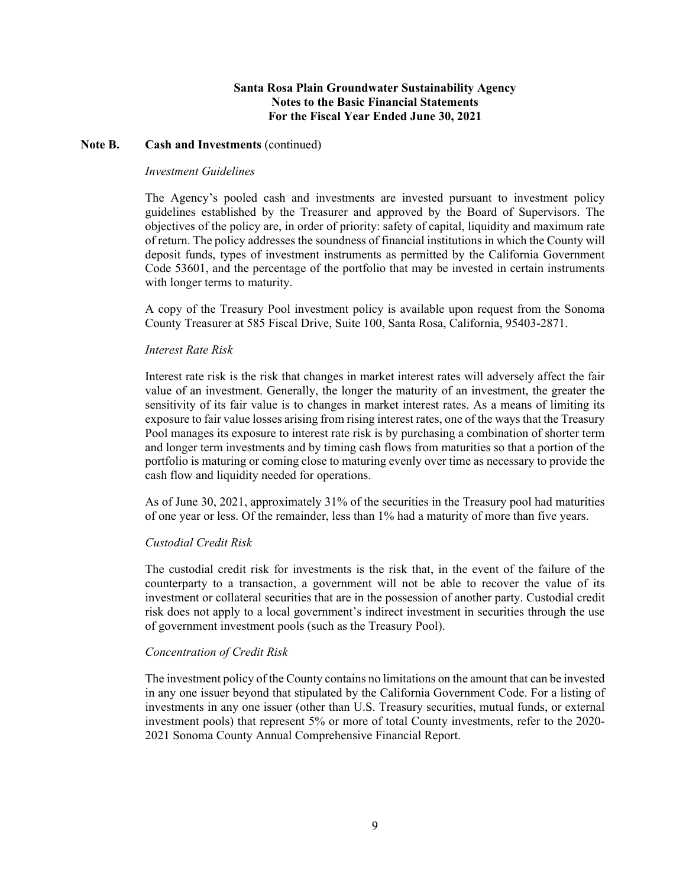### **Note B. Cash and Investments** (continued)

#### *Investment Guidelines*

The Agency's pooled cash and investments are invested pursuant to investment policy guidelines established by the Treasurer and approved by the Board of Supervisors. The objectives of the policy are, in order of priority: safety of capital, liquidity and maximum rate of return. The policy addresses the soundness of financial institutions in which the County will deposit funds, types of investment instruments as permitted by the California Government Code 53601, and the percentage of the portfolio that may be invested in certain instruments with longer terms to maturity.

A copy of the Treasury Pool investment policy is available upon request from the Sonoma County Treasurer at 585 Fiscal Drive, Suite 100, Santa Rosa, California, 95403-2871.

#### *Interest Rate Risk*

Interest rate risk is the risk that changes in market interest rates will adversely affect the fair value of an investment. Generally, the longer the maturity of an investment, the greater the sensitivity of its fair value is to changes in market interest rates. As a means of limiting its exposure to fair value losses arising from rising interest rates, one of the ways that the Treasury Pool manages its exposure to interest rate risk is by purchasing a combination of shorter term and longer term investments and by timing cash flows from maturities so that a portion of the portfolio is maturing or coming close to maturing evenly over time as necessary to provide the cash flow and liquidity needed for operations.

As of June 30, 2021, approximately 31% of the securities in the Treasury pool had maturities of one year or less. Of the remainder, less than 1% had a maturity of more than five years.

### *Custodial Credit Risk*

The custodial credit risk for investments is the risk that, in the event of the failure of the counterparty to a transaction, a government will not be able to recover the value of its investment or collateral securities that are in the possession of another party. Custodial credit risk does not apply to a local government's indirect investment in securities through the use of government investment pools (such as the Treasury Pool).

#### *Concentration of Credit Risk*

The investment policy of the County contains no limitations on the amount that can be invested in any one issuer beyond that stipulated by the California Government Code. For a listing of investments in any one issuer (other than U.S. Treasury securities, mutual funds, or external investment pools) that represent 5% or more of total County investments, refer to the 2020- 2021 Sonoma County Annual Comprehensive Financial Report.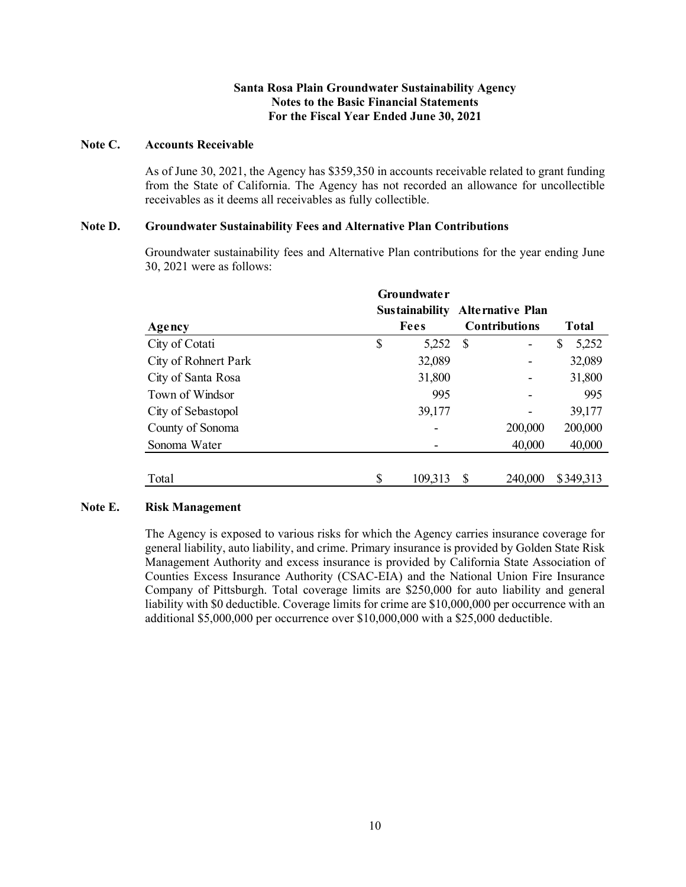#### **Note C. Accounts Receivable**

As of June 30, 2021, the Agency has \$359,350 in accounts receivable related to grant funding from the State of California. The Agency has not recorded an allowance for uncollectible receivables as it deems all receivables as fully collectible.

#### **Note D. Groundwater Sustainability Fees and Alternative Plan Contributions**

Groundwater sustainability fees and Alternative Plan contributions for the year ending June 30, 2021 were as follows:

|                      | <b>Groundwater</b><br><b>Sustainability</b> |                                                       |         |              |
|----------------------|---------------------------------------------|-------------------------------------------------------|---------|--------------|
| Agency               | Fees                                        | <b>Alternative Plan</b><br><b>Contributions</b><br>-8 |         | <b>Total</b> |
| City of Cotati       | \$<br>5,252                                 |                                                       |         | \$<br>5,252  |
| City of Rohnert Park | 32,089                                      |                                                       |         | 32,089       |
| City of Santa Rosa   | 31,800                                      |                                                       |         | 31,800       |
| Town of Windsor      | 995                                         |                                                       |         | 995          |
| City of Sebastopol   | 39,177                                      |                                                       |         | 39,177       |
| County of Sonoma     |                                             |                                                       | 200,000 | 200,000      |
| Sonoma Water         |                                             |                                                       | 40,000  | 40,000       |
|                      |                                             |                                                       |         |              |
| Total                | \$<br>109,313                               | <sup>\$</sup>                                         | 240,000 | \$349,313    |

# **Note E. Risk Management**

The Agency is exposed to various risks for which the Agency carries insurance coverage for general liability, auto liability, and crime. Primary insurance is provided by Golden State Risk Management Authority and excess insurance is provided by California State Association of Counties Excess Insurance Authority (CSAC-EIA) and the National Union Fire Insurance Company of Pittsburgh. Total coverage limits are \$250,000 for auto liability and general liability with \$0 deductible. Coverage limits for crime are \$10,000,000 per occurrence with an additional \$5,000,000 per occurrence over \$10,000,000 with a \$25,000 deductible.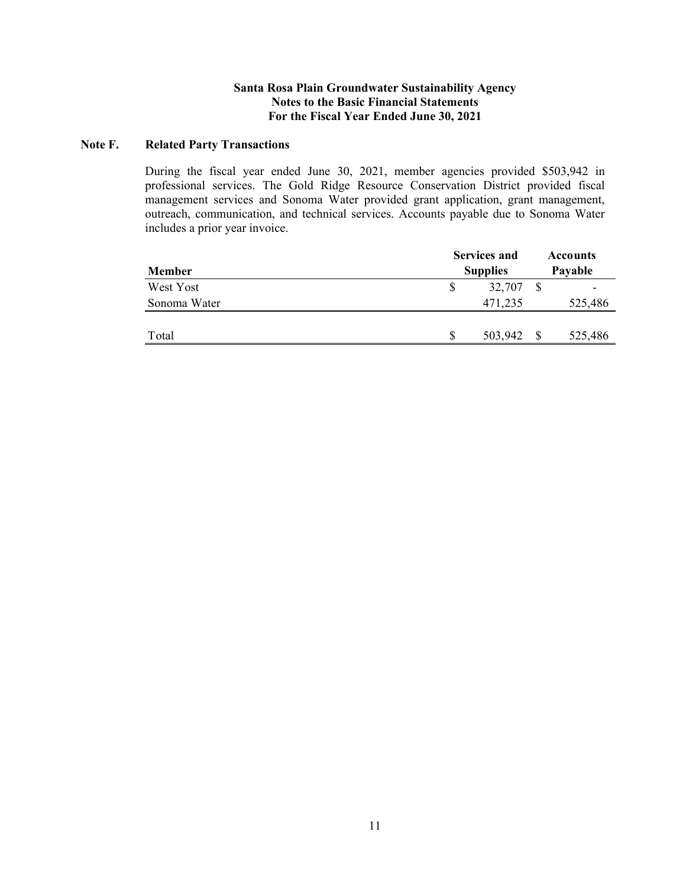# **Note F. Related Party Transactions**

During the fiscal year ended June 30, 2021, member agencies provided \$503,942 in professional services. The Gold Ridge Resource Conservation District provided fiscal management services and Sonoma Water provided grant application, grant management, outreach, communication, and technical services. Accounts payable due to Sonoma Water includes a prior year invoice.

| <b>Member</b> |  | <b>Services and</b> | <b>Accounts</b> |         |
|---------------|--|---------------------|-----------------|---------|
|               |  | <b>Supplies</b>     |                 | Payable |
| West Yost     |  | 32,707              | S               |         |
| Sonoma Water  |  | 471,235             |                 | 525,486 |
|               |  |                     |                 |         |
| Total         |  | 503,942             |                 | 525,486 |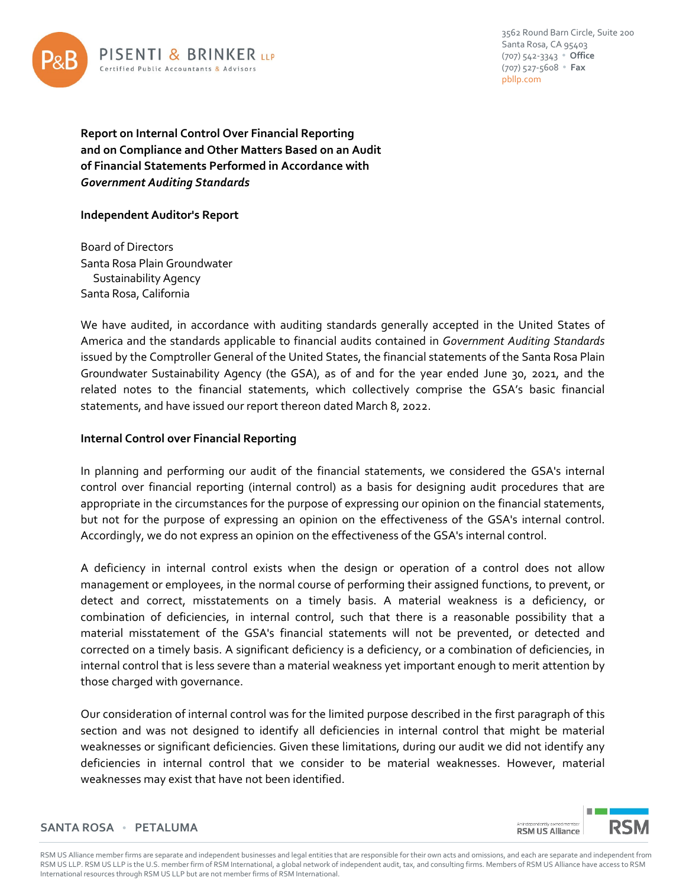

3562 Round Barn Circle, Suite 200 Santa Rosa, CA 95403 (707) 542‐3343 **Office** (707) 527‐5608 **Fax** [pbllp.com](https://pbllp.com)

n m

**RSM US Alliance** 

 **Report on Internal Control Over Financial Reporting and on Compliance and Other Matters Based on an Audit of Financial Statements Performed in Accordance with**  *Government Auditing Standards*

# **Independent Auditor's Report**

 Board of Directors Santa Rosa Plain Groundwater Sustainability Agency Santa Rosa, California

 We have audited, in accordance with auditing standards generally accepted in the United States of  America and the standards applicable to financial audits contained in *Government Auditing Standards* issued by the Comptroller General of the United States, the financial statements of the Santa Rosa Plain Groundwater Sustainability Agency (the GSA), as of and for the year ended June 30, 2021, and the related notes to the financial statements, which collectively comprise the GSA's basic financial statements, and have issued our report thereon dated March 8, 2022.

# **Internal Control over Financial Reporting**

 In planning and performing our audit of the financial statements, we considered the GSA's internal control over financial reporting (internal control) as a basis for designing audit procedures that are appropriate in the circumstances for the purpose of expressing our opinion on the financial statements, but not for the purpose of expressing an opinion on the effectiveness of the GSA's internal control. Accordingly, we do not express an opinion on the effectiveness of the GSA's internal control.

 A deficiency in internal control exists when the design or operation of a control does not allow management or employees, in the normal course of performing their assigned functions, to prevent, or detect and correct, misstatements on a timely basis. A material weakness is a deficiency, or combination of deficiencies, in internal control, such that there is a reasonable possibility that a material misstatement of the GSA's financial statements will not be prevented, or detected and corrected on a timely basis. A significant deficiency is a deficiency, or a combination of deficiencies, in internal control that is less severe than a material weakness yet important enough to merit attention by those charged with governance.

 Our consideration of internal control was for the limited purpose described in the first paragraph of this section and was not designed to identify all deficiencies in internal control that might be material weaknesses or significant deficiencies. Given these limitations, during our audit we did not identify any deficiencies in internal control that we consider to be material weaknesses. However, material weaknesses may exist that have not been identified.



<u> 1980 - Jan Samuel Barbara, menyebara tengah bagian perangan pengaran perangan perangan perangan perangan per</u> RSM US Alliance member firms are separate and independent businesses and legal entities that are responsible for their own acts and omissions, and each are separate and independent from RSM US LLP. RSM US LLP is the U.S. member firm of RSM International, a global network of independent audit, tax, and consulting firms. Members of RSM US Alliance have access to RSM International resources through RSM US LLP but are not member firms of RSM International.